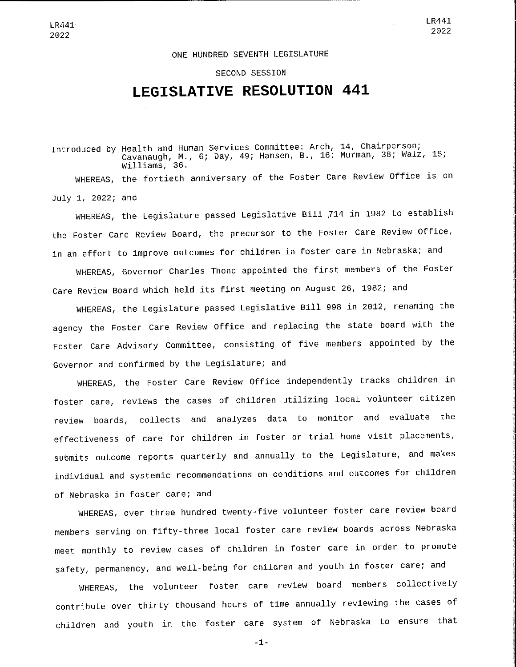2022 2022

## ONE HUNDRED SEVENTH LEGISLATURE

SECOND SESSION

## LEGISLATIVE RESOLUTION 441

ntroduced by Health and Human Services Committee: Arch, 14, Chairperson,<br>Cavanaugh, M., 6; Day, 49; Hansen, B., 16; Murman, 38; Walz, 15;<br>Williams, 36.

WHEREAS, the fortieth anniversary of the Foster Care Review Office is onJuly 1, 2022; and

WHEREAS, the Legislature passed Legislative Bill ,714 in 1982 to establishthe Foster Care Review Board, the precursor to the Foster Care Review Office, in an effort to improve outcomes for children in foster care in Nebraska; and

WHEREAS, Governor Charles Thone appointed the first members of the FosterCare Review Board which held its first meeting on August 26, 1982; and

WHEREAS, the Legislature passed Legislative Bill 998 in 2012, renaming the agency the Foster Care Review Office and replacing the state board with theFoster Care Advisory Committee, consisting of five members appointed by the Governor and confirmed by the Legislature; and

WHEREAS/ the Foster Care Review Office independently tracks children infoster care, reviews the cases of children utilizing local volunteer careful review boards, collects and analyzes data to monitor and evaluate the effectiveness of care for children in foster or trial home visit placements, submits outcome reports quarterly and annually to the Legislature, and makes individual and systemic recommendations on conditions and outcomes for childrenof Nebraska in foster care; and

WHEREAS, OVER three hundred twenty-five volunteer foster care review board members serving on fifty-three local foster care review boards across Nebraskameet monthly to review cases of children in foster care in order to promotesafety, permanency, and well-being for children and youth in foster care; and

WHEREAS, the volunteer foster care review board members collectivelycontribute over thirty thousand hours of time annually reviewing the cases ofchildren and youth in the foster care system of Nebraska to ensure that

-1-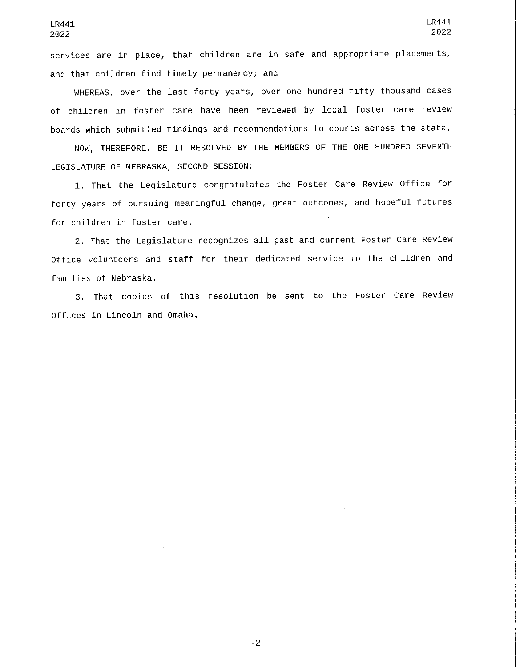$222$ LR441 LR441

services are in place, that children are in safe and appropriate placements, and that children find timely permanency; and

WHEREAS, over the last forty years, over one hundred fifty thousand casesof children in foster care have been reviewed by local foster care reviewboards which submitted findings and recommendations to courts across the state.

NOW, THEREFORE/ BE IT RESOLVED BY THE MEMBERS OF THE ONE HUNDRED SEVENTHLEGISLATURE OF NEBRASKA, SECOND SESSION:

1, That the Legislature congratulates the Foster Care Review Office forforty years of pursuing meaningful change, great outcomes, and hopeful futures  $\hat{\mathbf{y}}$ for children in foster care.

2. That the Legislature recognizes all past and current Foster Care ReviewOffice volunteers and staff for their dedicated service to the children andfamilies of Nebraska.

3. That copies of this resolution be sent to the Foster Care ReviewOffices in Lincoln and Omaha.